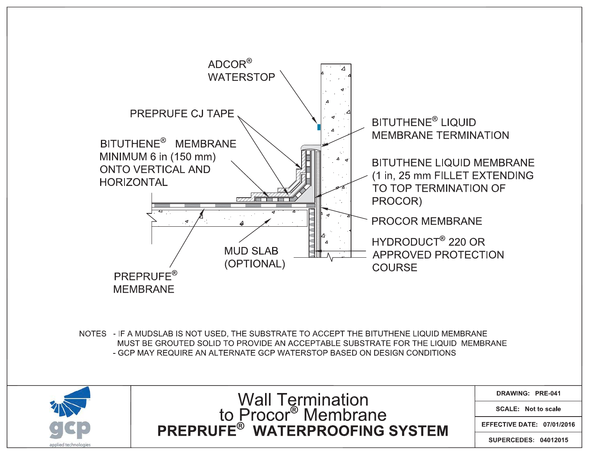

**SUPERCEDES: 04012015**